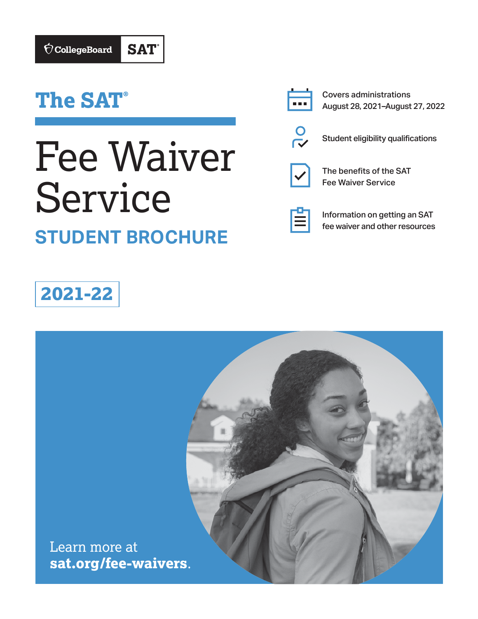# **The SAT®**

# Fee Waiver Service **STUDENT BROCHURE**



Covers administrations August 28, 2021–August 27, 2022



Student eligibility qualifications



The benefits of the SAT Fee Waiver Service



Information on getting an SAT fee waiver and other resources

# **2021-22**

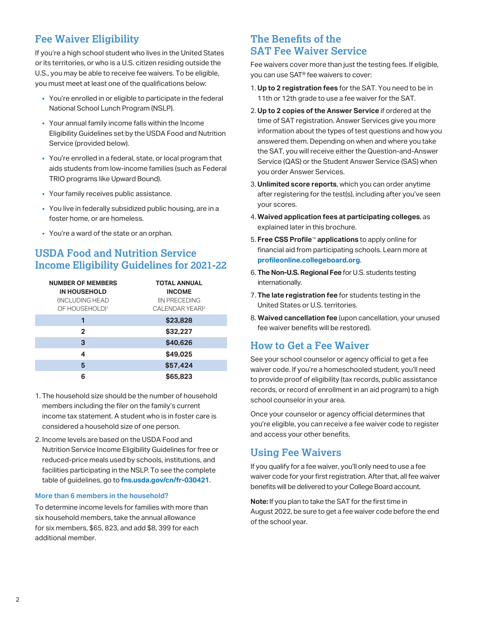# **Fee Waiver Eligibility**

If you're a high school student who lives in the United States or its territories, or who is a U.S. citizen residing outside the U.S., you may be able to receive fee waivers. To be eligible, you must meet at least one of the qualifications below:

- § You're enrolled in or eligible to participate in the federal National School Lunch Program (NSLP).
- § Your annual family income falls within the Income Eligibility Guidelines set by the USDA Food and Nutrition Service (provided below).
- § You're enrolled in a federal, state, or local program that aids students from low-income families (such as Federal TRIO programs like Upward Bound).
- § Your family receives public assistance.
- § You live in federally subsidized public housing, are in a foster home, or are homeless.
- § You're a ward of the state or an orphan.

# **USDA Food and Nutrition Service Income Eligibility Guidelines for 2021-22**

| <b>NUMBER OF MEMBERS</b><br><b>IN HOUSEHOLD</b><br><b>INCLUDING HEAD</b><br>OF HOUSEHOLD) <sup>1</sup> | <b>TOTAL ANNUAL</b><br><b>INCOME</b><br><b>IN PRECEDING</b><br>CALENDAR YEAR) <sup>2</sup> |
|--------------------------------------------------------------------------------------------------------|--------------------------------------------------------------------------------------------|
| 1                                                                                                      | \$23,828                                                                                   |
| $\mathbf{2}$                                                                                           | \$32,227                                                                                   |
| 3                                                                                                      | \$40,626                                                                                   |
| 4                                                                                                      | \$49,025                                                                                   |
| 5                                                                                                      | \$57,424                                                                                   |
| 6                                                                                                      | \$65,823                                                                                   |

- 1. The household size should be the number of household members including the filer on the family's current income tax statement. A student who is in foster care is considered a household size of one person.
- 2. Income levels are based on the USDA Food and Nutrition Service Income Eligibility Guidelines for free or reduced-price meals used by schools, institutions, and facilities participating in the NSLP. To see the complete table of guidelines, go to **[fns.usda.gov/cn/fr-030421](http://fns.usda.gov/cn/fr-030421)**.

#### **More than 6 members in the household?**

To determine income levels for families with more than six household members, take the annual allowance for six members, \$65, 823, and add \$8, 399 for each additional member.

## **The Benefits of the SAT Fee Waiver Service**

Fee waivers cover more than just the testing fees. If eligible, you can use SAT® fee waivers to cover:

- 1. **Up to 2 registration fees** for the SAT. You need to be in 11th or 12th grade to use a fee waiver for the SAT.
- 2. **Up to 2 copies of the Answer Service** if ordered at the time of SAT registration. Answer Services give you more information about the types of test questions and how you answered them. Depending on when and where you take the SAT, you will receive either the Question-and-Answer Service (QAS) or the Student Answer Service (SAS) when you order Answer Services.
- 3. **Unlimited score reports**, which you can order anytime after registering for the test(s), including after you've seen your scores.
- 4. **Waived application fees at participating colleges**, as explained later in this brochure.
- 5. **Free CSS Profile**™ **applications** to apply online for financial aid from participating schools. Learn more at **[profileonline.collegeboard.org](http://profileonline.collegeboard.org)**.
- 6. **The Non-U.S. Regional Fee** for U.S. students testing internationally.
- 7. **The late registration fee** for students testing in the United States or U.S. territories.
- 8. **Waived cancellation fee** (upon cancellation, your unused fee waiver benefits will be restored).

## **How to Get a Fee Waiver**

See your school counselor or agency official to get a fee waiver code. If you're a homeschooled student, you'll need to provide proof of eligibility (tax records, public assistance records, or record of enrollment in an aid program) to a high school counselor in your area.

Once your counselor or agency official determines that you're eligible, you can receive a fee waiver code to register and access your other benefits.

# **Using Fee Waivers**

 benefits will be delivered to your College Board account. If you qualify for a fee waiver, you'll only need to use a fee waiver code for your first registration. After that, all fee waiver

**Note:** If you plan to take the SAT for the first time in August 2022, be sure to get a fee waiver code before the end of the school year.